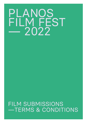# PLANOS FILM FEST — 2022

FILM SUBMISSIONS —TERMS & CONDITIONS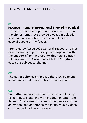special guests of the festival.

#### **01.**

**PLANOS - Tomar's International Short Film Festival**  – aims to spread and promote new short films in the city of Tomar. We provide a vast yet eclectic selection in competition as also as films from

Promoted by Associação Cultural Espaço 0 - Artes Comunicantes in partnership with Tripé and with the support of Tomar's County, this year's edition will happen from November 24th to 27th (stated dates are subject to change).

#### **02.**

The act of submission implies the knowledge and acceptance of all the articles of this regulation.

#### **03.**

Submitted entries must be fiction short films, up to 15 minutes long and with production date from January 2021 onwards. Non-fiction genres such as animation, documentaries, video art, music videos or others, will not be considered.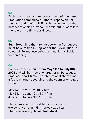## **04.**

Each director can submit a maximum of two films. Production companies or others responsible for the distribution of their films, have no limit on the number of shorts they can submit, but must follow the rule of two films per director.

#### **05.**

Submitted films that are not spoken in Portuguese must be subtitled in English for their evaluation. If selected, Portuguese subtitles must be available for screening.

#### **06.**

Call for entries occurs from **May 14th to July 9th 2022** and will be free of charge for all Portuguese produced short films. For international short films, a fee is charged according to the submission dates below:

May 14th to 20th: 2,50€ / film May 31st to June 19th: 5€ / film June 20th to July 9th: 10€ / film

The submission of short films takes place exclusively through Filmfreeway website: **filmfreeway.com/planosfilmfestival**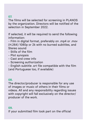## **07.**

The films will be selected for screening in PLANOS by the organization. Directors will be notified of the selection in September 2022.

If selected, it will be required to send the following information:

- Film in digital format, preferably on .mp4 or .mov (H.264) 1080p or 2k with no burned subtitles, and Stereo sound

- Stills of the film
- Plot synopsis
- Cast and crew info
- Screening authorization
- English subtitle .srt file compatible with the film (and Portuguese too, if available)

#### **08.**

The director/producer is responsible for any use of images or music of others in their films or videos. All and any responsibility regarding issues with copyright will fall exclusively on the director/ producer of the work.

#### **09.**

If your submitted film took part on the official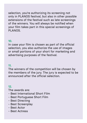selection, you're authorizing its screening not only in PLANOS festival, but also in other possible extensions of the festival such as late screenings of the winners. You will always be notified when your film takes part in this special screenings of PLANOS.

## **10.**

In case your film is chosen as part of the official selection, you also authorize the use of images or small portions of your short for marketing and advertising purposes of the festival.

#### **11.**

The winners of the competition will be chosen by the members of the jury. The jury is expected to be announced after the official selection.

### **12.**

The awards are:

- Best International Short Film
- Best Portuguese Short Film
- Best Directing
- Best Screenplay
- Best Actor
- Best Actress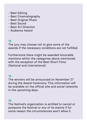- Best Editing
- Best Cinematography
- Best Original Music
- Best Sound
- Best Art Direction
- Audience Award

## **13.**

The jury may choose not to give some of the awards if the necessary conditions are not fulfilled.

Furthermore there might be awarded honorable mentions within the categories above mentioned, with the exception of the Best Short Films (National and International)

#### **14.**

The winners will be announced on November 27 during the Award Ceremony. This information will be available on the official site and social networks in the upcoming days.

#### **15.**

The festival's organization is entitled to cancel or postpone the festival or any of its events if for some reason the circumstances won't allow it.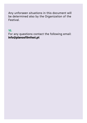Any unforseen situations in this document will be determined also by the Organization of the Festival.

**16.**

For any questions contact the following email: **info@planosfilmfest.pt**